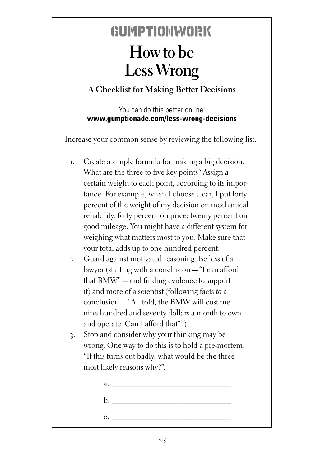## GUMPTIONWORK **How to be Less Wrong**

## **A Checklist for Making Better Decisions**

You can do this better online: **www.gumptionade.com/less-wrong-decisions**

Increase your common sense by reviewing the following list:

- 1. Create a simple formula for making a big decision. What are the three to five key points? Assign a certain weight to each point, according to its importance. For example, when I choose a car, I put forty percent of the weight of my decision on mechanical reliability; forty percent on price; twenty percent on good mileage. You might have a different system for weighing what matters most to you. Make sure that your total adds up to one hundred percent.
- 2. Guard against motivated reasoning. Be less of a lawyer (starting with a conclusion—"I can afford that BMW"—and finding evidence to support it) and more of a scientist (following facts *to* a conclusion—"All told, the BMW will cost me nine hundred and seventy dollars a month to own and operate. Can I afford that?").
- 3. Stop and consider why your thinking may be wrong. One way to do this is to hold a pre-mortem: "If this turns out badly, what would be the three most likely reasons why?"